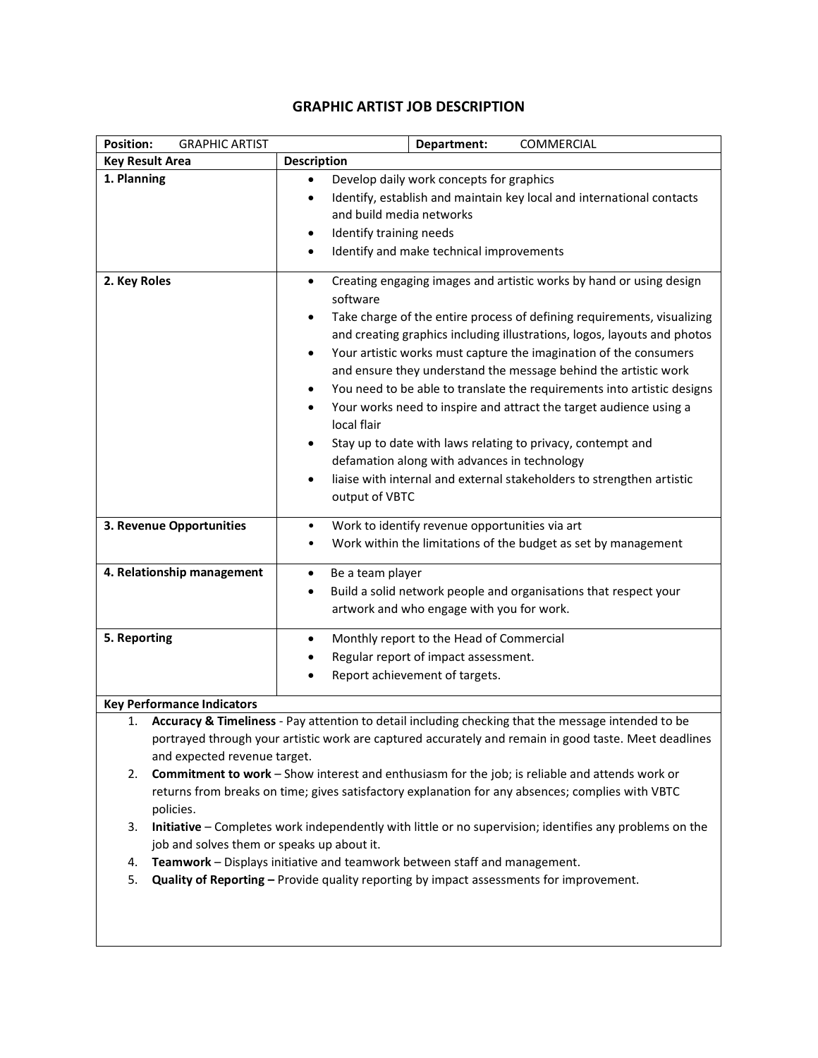| <b>Position:</b><br><b>GRAPHIC ARTIST</b> | Department:<br>COMMERCIAL                                                                                                                                                                                                                                                                                                                                                                                                                                                                                                                                                                                                                                                                                                                                                                                    |
|-------------------------------------------|--------------------------------------------------------------------------------------------------------------------------------------------------------------------------------------------------------------------------------------------------------------------------------------------------------------------------------------------------------------------------------------------------------------------------------------------------------------------------------------------------------------------------------------------------------------------------------------------------------------------------------------------------------------------------------------------------------------------------------------------------------------------------------------------------------------|
| <b>Key Result Area</b>                    | <b>Description</b>                                                                                                                                                                                                                                                                                                                                                                                                                                                                                                                                                                                                                                                                                                                                                                                           |
| 1. Planning                               | Develop daily work concepts for graphics<br>$\bullet$<br>Identify, establish and maintain key local and international contacts<br>$\bullet$<br>and build media networks<br>Identify training needs<br>Identify and make technical improvements                                                                                                                                                                                                                                                                                                                                                                                                                                                                                                                                                               |
| 2. Key Roles                              | Creating engaging images and artistic works by hand or using design<br>$\bullet$<br>software<br>Take charge of the entire process of defining requirements, visualizing<br>and creating graphics including illustrations, logos, layouts and photos<br>Your artistic works must capture the imagination of the consumers<br>$\bullet$<br>and ensure they understand the message behind the artistic work<br>You need to be able to translate the requirements into artistic designs<br>$\bullet$<br>Your works need to inspire and attract the target audience using a<br>$\bullet$<br>local flair<br>Stay up to date with laws relating to privacy, contempt and<br>defamation along with advances in technology<br>liaise with internal and external stakeholders to strengthen artistic<br>output of VBTC |
| 3. Revenue Opportunities                  | Work to identify revenue opportunities via art<br>Work within the limitations of the budget as set by management                                                                                                                                                                                                                                                                                                                                                                                                                                                                                                                                                                                                                                                                                             |
| 4. Relationship management                | Be a team player<br>Build a solid network people and organisations that respect your<br>$\bullet$<br>artwork and who engage with you for work.                                                                                                                                                                                                                                                                                                                                                                                                                                                                                                                                                                                                                                                               |
| 5. Reporting                              | Monthly report to the Head of Commercial<br>$\bullet$<br>Regular report of impact assessment.<br>Report achievement of targets.                                                                                                                                                                                                                                                                                                                                                                                                                                                                                                                                                                                                                                                                              |
| <b>Key Performance Indicators</b>         |                                                                                                                                                                                                                                                                                                                                                                                                                                                                                                                                                                                                                                                                                                                                                                                                              |

## **GRAPHIC ARTIST JOB DESCRIPTION**

- 1. **Accuracy & Timeliness** Pay attention to detail including checking that the message intended to be portrayed through your artistic work are captured accurately and remain in good taste. Meet deadlines and expected revenue target.
- 2. **Commitment to work** Show interest and enthusiasm for the job; is reliable and attends work or returns from breaks on time; gives satisfactory explanation for any absences; complies with VBTC policies.
- 3. **Initiative**  Completes work independently with little or no supervision; identifies any problems on the job and solves them or speaks up about it.
- 4. **Teamwork**  Displays initiative and teamwork between staff and management.
- 5. **Quality of Reporting –** Provide quality reporting by impact assessments for improvement.